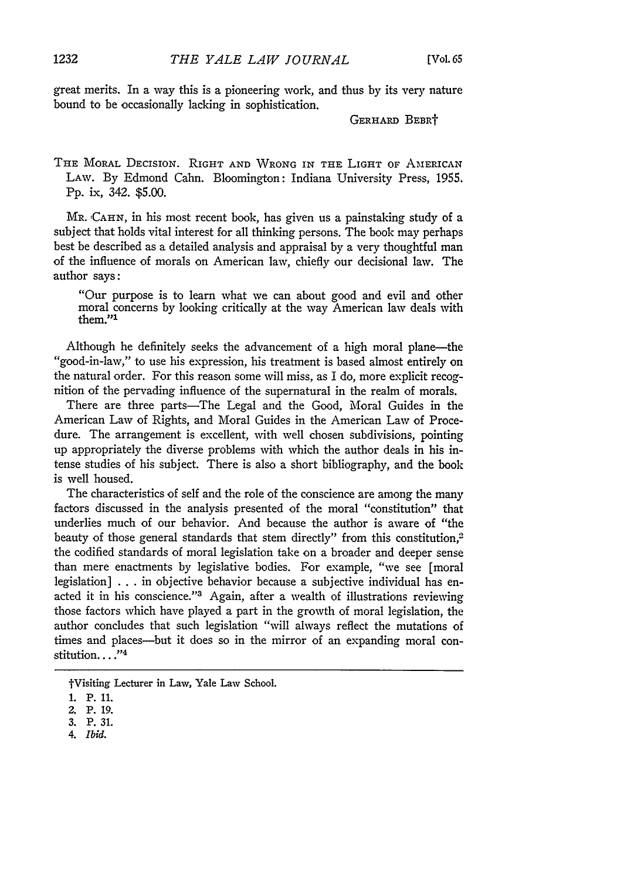great merits. In a way this is a pioneering work, and thus by its very nature bound to be occasionally lacking in sophistication.

GERHARD BEBRT

THE MORAL DECISION. RIGHT AND WRONG IN THE LIGHT OF AMERICAN LAW. By Edmond Cahn. Bloomington: Indiana University Press, 1955. Pp. ix, 342. \$5.00.

MR. CAHN, in his most recent book, has given us a painstaking study of a subject that holds vital interest for all thinking persons. The book may perhaps best be described as a detailed analysis and appraisal by a very thoughtful man of the influence of morals on American law, chiefly our decisional law. The author says:

"Our purpose is to learn what we can about good and evil and other moral concerns by looking critically at the way American law deals with them."<sup>1</sup>

Although he definitely seeks the advancement of a high moral plane-the "good-in-law," to use his expression, his treatment is based almost entirely on the natural order. For this reason some will miss, as I do, more explicit recognition of the pervading influence of the supernatural in the realm of morals.

There are three parts-The Legal and the Good, Moral Guides in the American Law of Rights, and Moral Guides in the American Law of Procedure. The arrangement is excellent, with well chosen subdivisions, pointing up appropriately the diverse problems with which the author deals in his intense studies of his subject. There is also a short bibliography, and the book is well housed.

The characteristics of self and the role of the conscience are among the many factors discussed in the analysis presented of the moral "constitution" that underlies much of our behavior. And because the author is aware of "the beauty of those general standards that stem directly" from this constitution,<sup>2</sup> the codified standards of moral legislation take on a broader and deeper sense than mere enactments by legislative bodies. For example, "we see [moral legislation] . . . in objective behavior because a subjective individual has enacted it in his conscience."<sup>3</sup> Again, after a wealth of illustrations reviewing those factors which have played a part in the growth of moral legislation, the author concludes that such legislation "will always reflect the mutations of times and places-but it does so in the mirror of an expanding moral constitution...."<sup>4</sup>

*4. Ibid.*

tVisiting Lecturer in Law, Yale Law School.

**<sup>1.</sup>** P. **11.**

<sup>2.</sup> P. 19.

<sup>3.</sup> P. 31.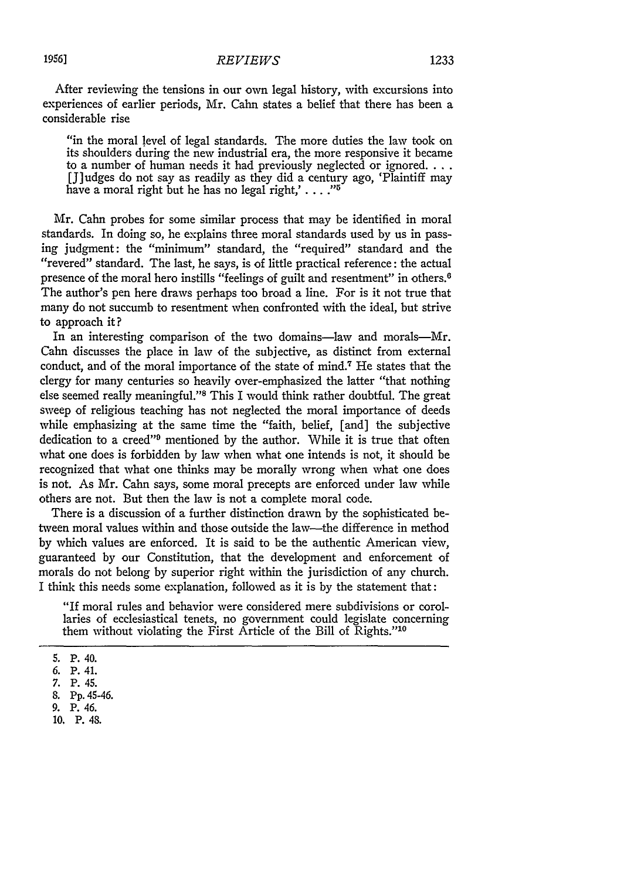After reviewing the tensions in our own legal history, with excursions into experiences of earlier periods, Mr. Cahn states a belief that there has been a considerable rise

"in the moral level of legal standards. The more duties the law took on its shoulders during the new industrial era, the more responsive it became to a number of human needs it had previously neglected or ignored.... [J]udges do not say as readily as they did a century ago, 'Plaintiff may have a moral right but he has no legal right,' . **..."5**

Mr. Cahn probes for some similar process that may be identified in moral standards. In doing so, he explains three moral standards used by us in passing judgment: the "minimum" standard, the "required" standard and the "revered" standard. The last, he says, is of little practical reference: the actual presence of the moral hero instills "feelings of guilt and resentment" in others. <sup>6</sup> The author's pen here draws perhaps too broad a line. For is it not true that many do not succumb to resentment when confronted with the ideal, but strive to approach it?

In an interesting comparison of the two domains-law and morals-Mr. Cahn discusses the place in law of the subjective, as distinct from external conduct, and of the moral importance of the state of mind.7 He states that the clergy for many centuries so heavily over-emphasized the latter "that nothing else seemed really meaningful."<sup>8</sup> This I would think rather doubtful. The great sweep of religious teaching has not neglected the moral importance of deeds while emphasizing at the same time the "faith, belief, [and] the subjective dedication to a creed"<sup>9</sup> mentioned by the author. While it is true that often what one does is forbidden by law when what one intends is not, it should be recognized that what one thinks may be morally wrong when what one does is not. As Mr. Cahn says, some moral precepts are enforced under law while others are not. But then the law is not a complete moral code.

There is a discussion of a further distinction drawn by the sophisticated between moral values within and those outside the law-the difference in method by which values are enforced. It is said to be the authentic American view, guaranteed by our Constitution, that the development and enforcement of morals do not belong by superior right within the jurisdiction of any church. I think this needs some explanation, followed as it is by the statement that:

"If moral rules and behavior were considered mere subdivisions or corollaries of ecclesiastical tenets, no government could legislate concerning them without violating the First Article of the Bill of Rights."'1

<sup>5.</sup> P. 40.

<sup>6.</sup> P. 41.

<sup>7.</sup> P. 45.

<sup>8.</sup> Pp. 45-46.

**<sup>9.</sup>** P. 46.

**<sup>10.</sup>** P. **48.**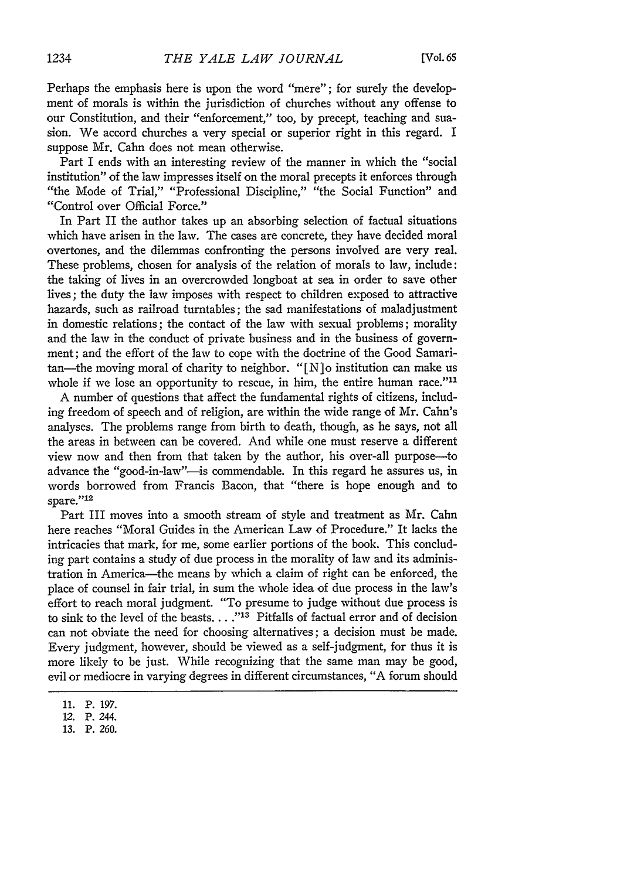Perhaps the emphasis here is upon the word "mere"; for surely the development of morals is within the jurisdiction of churches without any offense to our Constitution, and their "enforcement," too, by precept, teaching and suasion. We accord churches a very special or superior right in this regard. I suppose Mr. Cahn does not mean otherwise.

Part I ends with an interesting review of the manner in which the "social institution" of the law impresses itself on the moral precepts it enforces through "the Mode of Trial," "Professional Discipline," "the Social Function" and "Control over Official Force."

In Part II the author takes up an absorbing selection of factual situations which have arisen in the law. The cases are concrete, they have decided moral overtones, and the dilemmas confronting the persons involved are very real. These problems, chosen for analysis of the relation of morals to law, include: the taking of lives in an overcrowded longboat at sea in order to save other lives; the duty the law imposes with respect to children exposed to attractive hazards, such as railroad turntables; the sad manifestations of maladjustment in domestic relations; the contact of the law with sexual problems; morality and the law in the conduct of private business and in the business of government; and the effort of the law to cope with the doctrine of the Good Samaritan—the moving moral of charity to neighbor. "[N]o institution can make us whole if we lose an opportunity to rescue, in him, the entire human race."<sup>11</sup>

A number of questions that affect the fundamental rights of citizens, including freedom of speech and of religion, are within the wide range of Mr. Cahn's analyses. The problems range from birth to death, though, as he says, not all the areas in between can be covered. And while one must reserve a different view now and then from that taken by the author, his over-all purpose-to advance the "good-in-law"-is commendable. In this regard he assures us, in words borrowed from Francis Bacon, that "there is hope enough and to spare."<sup>12</sup>

Part III moves into a smooth stream of style and treatment as Mr. Cahn here reaches "Moral Guides in the American Law of Procedure." It lacks the intricacies that mark, for me, some earlier portions of the book. This concluding part contains a study of due process in the morality of law and its administration in America-the means by which a claim of right can be enforced, the place of counsel in fair trial, in sum the whole idea of due process in the law's effort to reach moral judgment. "To presume to judge without due process is to sink to the level of the beasts .... **-113** Pitfalls of factual error and of decision can not obviate the need for choosing alternatives; a decision must be made. Every judgment, however, should be viewed as a self-judgment, for thus it is more likely to be just. While recognizing that the same man may be good, evil or mediocre in varying degrees in different circumstances, "A forum should

<sup>11.</sup> P. 197.

<sup>12.</sup> P. 244.

**<sup>13.</sup>** P. 260.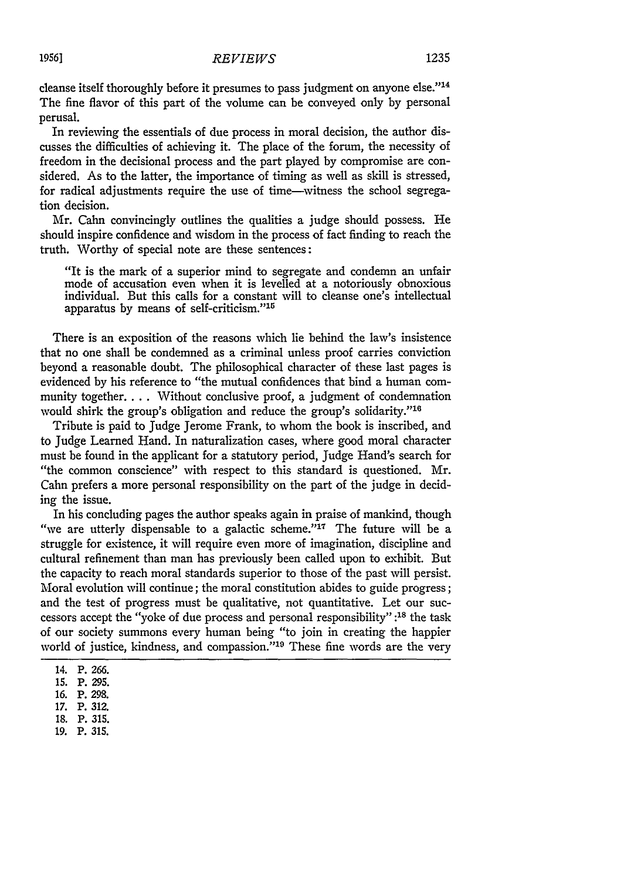cleanse itself thoroughly before it presumes to pass judgment on anyone else."<sup>14</sup> The fine flavor of this part of the volume can be conveyed only by personal perusal.

In reviewing the essentials of due process in moral decision, the author discusses the difficulties of achieving it. The place of the forum, the necessity of freedom in the decisional process and the part played by compromise are considered. As to the latter, the importance of timing as well as skill is stressed, for radical adjustments require the use of time-witness the school segregation decision.

Mr. Calm convincingly outlines the qualities a judge should possess. He should inspire confidence and wisdom in the process of fact finding to reach the truth. Worthy of special note are these sentences:

"It is the mark of a superior mind to segregate and condemn an unfair mode of accusation even when it is levelled at a notoriously obnoxious individual. But this calls for a constant will to cleanse one's intellectual apparatus by means of self-criticism."<sup>15</sup>

There is an exposition of the reasons which lie behind the law's insistence that no one shall be condemned as a criminal unless proof carries conviction beyond a reasonable doubt. The philosophical character of these last pages is evidenced by his reference to "the mutual confidences that bind a human community together.... Without conclusive proof, a judgment of condemnation would shirk the group's obligation and reduce the group's solidarity."'<sup>16</sup>

Tribute is paid to Judge Jerome Frank, to whom the book is inscribed, and to Judge Learned Hand. In naturalization cases, where good moral character must be found in the applicant for a statutory period, Judge Hand's search for "the common conscience" with respect to this standard is questioned. Mr. Cahn prefers a more personal responsibility on the part of the judge in deciding the issue.

In his concluding pages the author speaks again in praise of mankind, though "we are utterly dispensable to a galactic scheme."<sup>17</sup> The future will be a struggle for existence, it will require even more of imagination, discipline and cultural refinement than man has previously been called upon to exhibit. But the capacity to reach moral standards superior to those of the past will persist. Moral evolution will continue; the moral constitution abides to guide progress; and the test of progress must be qualitative, not quantitative. Let our successors accept the "yoke of due process and personal responsibility" **:18** the task of our society summons every human being "to join in creating the happier world of justice, kindness, and compassion."<sup>19</sup> These fine words are the very

- **18. P. 315.**
- **19. P. 315.**

<sup>14.</sup> P. 266.

**<sup>15.</sup>** P. **295.**

**<sup>16.</sup>** P. 298.

**<sup>17.</sup>** P. **312.**